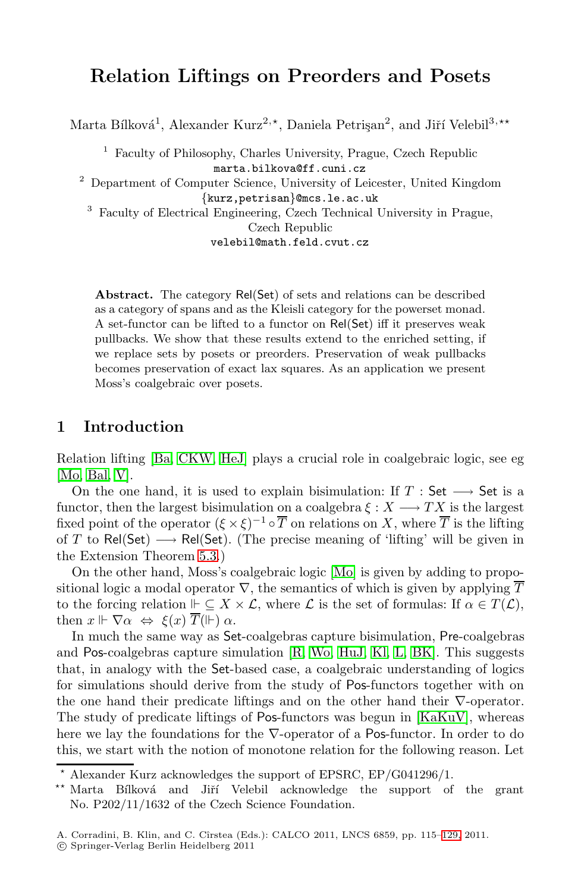# **Relation Liftings on Preorders and Posets**

Marta Bílková<sup>1</sup>, Alexander Kurz<sup>2,\*</sup>, Daniela Petrişan<sup>2</sup>, and Jiří Velebil<sup>3,\*\*</sup>

<sup>1</sup> Faculty of Philosophy, Charles University, Prague, Czech Republic marta.bilkova@ff.cuni.cz

 $^{\rm 2}$  Department of Computer Science, University of Leicester, United Kingdom {kurz,petrisan}@mcs.le.ac.uk

<sup>3</sup> Faculty of Electrical Engineering, Czech Technical University in Prague, Czech Republic

velebil@math.feld.cvut.cz

**Abstract.** The category Rel(Set) of sets and relations can be described as a category of spans and as the Kleisli category for the powerset monad. A set-functor can be lifted to a functor on Rel(Set) iff it preserves weak [pu](#page-13-0)[llback](#page-14-0)s. We show that these results extend to the enriched setting, if we replace sets by posets or preorders. Preservation of weak pullbacks becomes preservation of exact lax squares. As an application we present Moss's coalgebraic over posets.

#### **1 [Int](#page-9-0)roduction**

Relation lifting [Ba, CKW, [HeJ](#page-14-1)] plays a crucial role in coalgebraic logic, see eg [Mo, Bal, V].

On the one hand, it is used to explain bisimulation: If  $T : Set \longrightarrow Set$  is a functor, then the largest bisimulation on a coalgebra  $\xi : X \longrightarrow TX$  is the largest fixed point of the op[era](#page-14-2)tor  $({\xi \times \xi})^{-1} \circ \overline{T}$  $({\xi \times \xi})^{-1} \circ \overline{T}$  $({\xi \times \xi})^{-1} \circ \overline{T}$  o[n rel](#page-13-1)ations on X, where  $\overline{T}$  is the lifting of T to Rel(Set)  $\longrightarrow$  Rel(Set). (The precise meaning of 'lifting' will be given in the Extension Theorem 5.3.)

On the other hand, Moss's coalgebraic logic [Mo] is given by adding to propositional logic a modal operator  $\nabla$ , the sem[antics of](#page-14-7) which is given by applying  $\overline{T}$ to the forcing relation  $\Vdash \subseteq X \times \mathcal{L}$ , where  $\mathcal{L}$  is the set of formulas: If  $\alpha \in T(\mathcal{L})$ , then  $x \Vdash \nabla \alpha \Leftrightarrow \xi(x) T(\Vdash) \alpha$ .

In much the same way as Set-coalgebras capture bisimulation, Pre-coalgebras and Pos-coalgebras capture simulation [R, Wo, HuJ, Kl, L, BK]. This suggests that, in analogy with the Set-based case, a coalgebraic understanding of logics for simulations should derive from the study of Pos-functors together with on the one hand their predicate liftings and on the other hand their ∇-operator. The study of predicate liftings of Pos-functors [wa](#page-14-8)s begun in [KaKuV], whereas here we lay the foundations for the ∇-operator of a Pos-functor. In order to do this, we start with the notion of monotone relation for the following reason. Let

<sup>-</sup> Alexander Kurz acknowledges the support of EPSRC, EP/G041296/1.

<sup>\*\*</sup> Marta Bílková and Jiří Velebil acknowledge the support of the grant No. P202/11/1632 of the Czech Science Foundation.

A. Corradini, B. Klin, and C. Cîrstea (Eds.): CALCO 2011, LNCS 6859, pp. 115-129, 2011.

<sup>-</sup>c Springer-Verlag Berlin Heidelberg 2011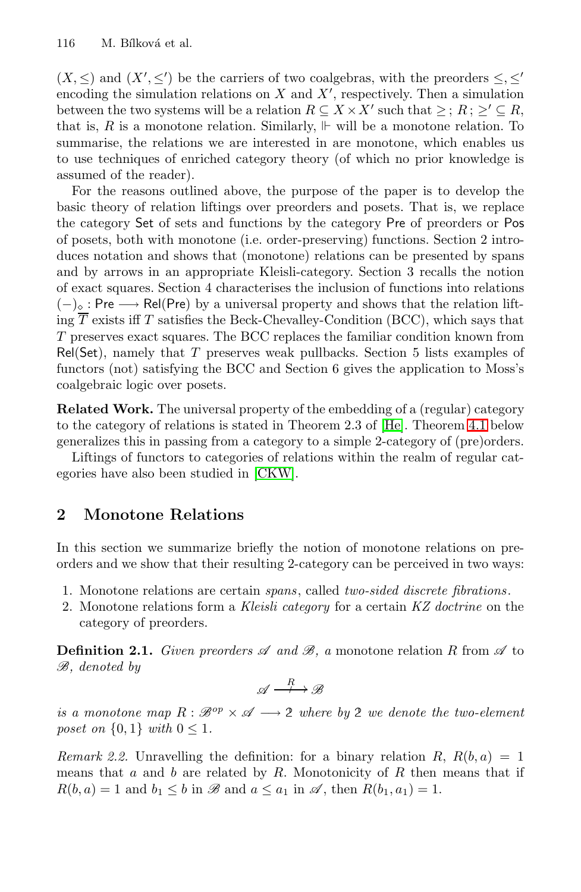$(X, \leq)$  and  $(X', \leq')$  be the carriers of two coalgebras, with the preorders  $\leq, \leq'$ encoding the simulation relations on  $X$  and  $X'$ , respectively. Then a simulation between the two systems will be a relation  $R \subseteq X \times X'$  such that  $\geq$ ;  $R$ ;  $\geq' \subseteq R$ , that is, R is a monotone relation. Similarly,  $\Vdash$  will be a monotone relation. To summarise, the relations we are interested in are monotone, which enables us to use techniques of enriched category theory (of which no prior knowledge is assumed of the reader).

For the reasons outlined above, the purpose of the paper is to develop the basic theory of relation liftings over preorders and posets. That is, we replace the category Set of sets and functions by the category Pre of preorders or Pos of posets, both with monotone (i.e. order-preserving) functions. Section 2 introduces notation and shows that (monotone) relations can be presented by spans and by arrows in an appropriate Kleisli-category. Section 3 recalls the notion of exact squares. Section 4 characterises the inclusion of functions into relations  $(-)_\diamond$  $(-)_\diamond$  $(-)_\diamond$ : Pre → Rel(Pre) by a univers[al](#page-14-9) [pr](#page-14-9)operty and [sho](#page-8-0)ws that the relation lifting  $\overline{T}$  exists iff T satisfies the Beck-Chevalley-Condition (BCC), which says that T preserves exact squares. The BCC replaces the familiar condition known from Rel(Set), nam[ely](#page-13-0) [that](#page-13-0) T preserves weak pullbacks. Section 5 lists examples of functors (not) satisfying the BCC and Section 6 gives the application to Moss's coalgebraic logic over posets.

**Related Work.** The universal property of the embedding of a (regular) category to the category of relations is stated in Theorem 2.3 of [He]. Theorem 4.1 below generalizes this in passing from a category to a simple 2-category of (pre)orders.

Liftings of functors to categories of relations within the realm of regular categories have also been studied in [CKW].

#### **2 Monotone Relations**

In this section we summarize briefly the notion of monotone relations on preorders and we show that their resulting 2-category can be perceived in two ways:

- 1. Monotone relations are certain *spans*, called *two-sided discrete fibrations*.
- 2. Monotone relations form a *Kleisli category* for a certain *KZ doctrine* on the category of preorders.

**Definition 2.1.** *Given preorders*  $\mathscr A$  *and*  $\mathscr B$ *, a* monotone relation R from  $\mathscr A$  to *B, denoted by*

$$
\mathscr{A} \xrightarrow{\quad R \quad} \mathscr{B}
$$

*is a monotone map*  $R : \mathcal{B}^{op} \times \mathcal{A} \longrightarrow 2$  where by 2 we denote the two-element *poset on*  $\{0, 1\}$  *with*  $0 \leq 1$ *.* 

*Remark 2.2.* Unravelling the definition: for a binary relation R,  $R(b, a) = 1$ means that  $a$  and  $b$  are related by  $R$ . Monotonicity of  $R$  then means that if  $R(b, a) = 1$  and  $b<sub>1</sub> < b$  in  $\mathscr{B}$  and  $a < a<sub>1</sub>$  in  $\mathscr{A}$ , then  $R(b<sub>1</sub>, a<sub>1</sub>) = 1$ .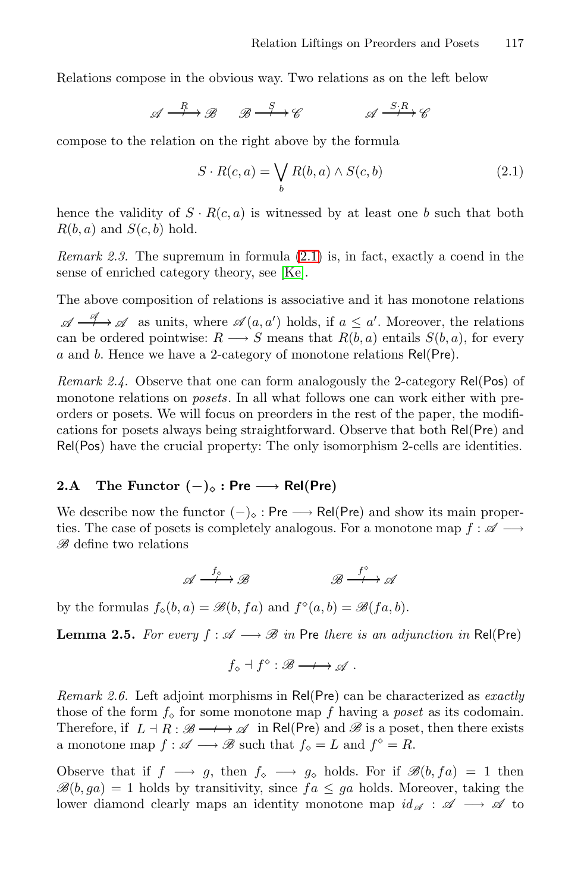<span id="page-2-0"></span>Relations compose in the obvious way. Two relations as on the left below

$$
\mathscr{A} \xrightarrow{R} \mathscr{B} \xrightarrow{S} \mathscr{C} \xrightarrow{S \cdot R} \mathscr{C}
$$

compose to the rel[atio](#page-14-10)[n](#page-2-0) [on](#page-2-0) the right above by the formula

$$
S \cdot R(c, a) = \bigvee_{b} R(b, a) \wedge S(c, b)
$$
 (2.1)

hence the validity of  $S \cdot R(c, a)$  is witnessed by at least one b such that both  $R(b, a)$  and  $S(c, b)$  hold.

*Remark 2.3.* The supremum in formula (2.1) is, in fact, exactly a coend in the sense of enriched category theory, see [Ke].

The above composition of relations is associative and it has monotone relations  $\mathscr{A} \xrightarrow{\mathscr{A}} \mathscr{A}$  as units, where  $\mathscr{A}(a, a')$  holds, if  $a \leq a'$ . Moreover, the relations can be ordered pointwise:  $R \longrightarrow S$  means that  $R(b, a)$  entails  $S(b, a)$ , for every a and b. Hence we have a 2-category of monotone relations Rel(Pre).

*Remark 2.4.* Observe that one can form analogously the 2-category Rel(Pos) of monotone relations on *posets*. In all what follows one can work either with preorders or posets. We will focus on preorders in the rest of the paper, the modifications for posets always being straightforward. Observe that both Rel(Pre) and Rel(Pos) have the crucial property: The only isomorphism 2-cells are identities.

## **2.A** The Functor  $(-)_\diamond$  : Pre → Rel(Pre)

We describe now the functor  $(-)_{\circ}$ : Pre  $\longrightarrow$  Rel(Pre) and show its main properties. The case of posets is completely analogous. For a monotone map  $f : \mathscr{A} \longrightarrow$ *B* define two relations

$$
\mathscr{A} \xrightarrow{f_{\circ}} \mathscr{B} \qquad \qquad \mathscr{B} \xrightarrow{f^{\circ}} \mathscr{A}
$$

by the formulas  $f_0(b, a) = \mathcal{B}(b, fa)$  and  $f^{\diamond}(a, b) = \mathcal{B}(fa, b)$ .

**Lemma 2.5.** *For every*  $f : \mathcal{A} \longrightarrow \mathcal{B}$  *in* Pre *there is an adjunction in* Rel(Pre)

 $f_{\diamond} \dashv f^{\diamond} : \mathscr{B} \longrightarrow \mathscr{A}$ .

*Remark 2.6.* Left adjoint morphisms in Rel(Pre) can be characterized as *exactly* those of the form  $f_0$  for some monotone map f having a *poset* as its codomain. Therefore, if  $L \dashv R : \mathscr{B} \longrightarrow \mathscr{A}$  in Rel(Pre) and  $\mathscr{B}$  is a poset, then there exists a monotone map  $f : \mathscr{A} \longrightarrow \mathscr{B}$  such that  $f_{\diamond} = L$  and  $f^{\diamond} = R$ .

Observe that if  $f \longrightarrow g$ , then  $f_0 \longrightarrow g_0$  holds. For if  $\mathscr{B}(b, fa) = 1$  then  $\mathscr{B}(b, ga) = 1$  holds by transitivity, since  $fa \le ga$  holds. Moreover, taking the lower diamond clearly maps an identity monotone map  $id_{\mathscr{A}} : \mathscr{A} \longrightarrow \mathscr{A}$  to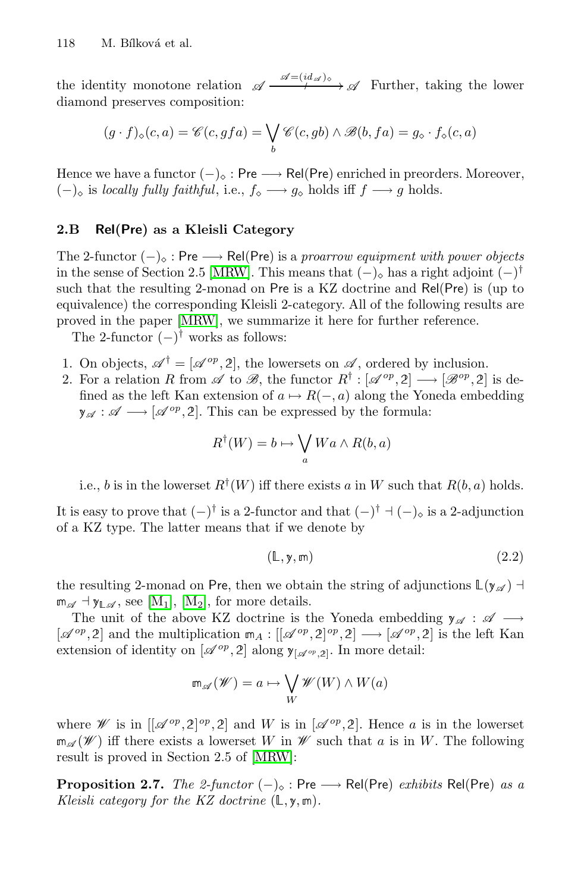the identity monotone relation  $\mathscr{A} \xrightarrow{\mathscr{A} = (id_{\mathscr{A}})_{\diamond}} \mathscr{A}$  Further, taking the lower diamond preserves composition:

$$
(g \cdot f)_{\diamond}(c, a) = \mathscr{C}(c, gfa) = \bigvee_{b} \mathscr{C}(c, gb) \land \mathscr{B}(b, fa) = g_{\diamond} \cdot f_{\diamond}(c, a)
$$

Hence we have a functor  $(-)_\diamond$ : Pre  $\longrightarrow$  Rel(Pre) enriched in preorders. Moreover,  $(-)_\circ$  [is](#page-14-11) *locally fully faithful*, i.e.,  $f_\circ \longrightarrow g_\circ$  holds iff  $f \longrightarrow g$  holds.

#### **2.B Rel(Pre) as a Kleisli Category**

The 2-functor  $(-)_\diamond$ : Pre  $\longrightarrow$  Rel(Pre) is a *proarrow equipment with power objects* in the sense of Section 2.5 [MRW]. This means that  $(-)_{\diamond}$  has a right adjoint  $(-)^{\dagger}$ such that the resulting 2-monad on Pre is a KZ doctrine and Rel(Pre) is (up to equivalence) the corresponding Kleisli 2-category. All of the following results are proved in the paper [MRW], we summarize it here for further reference.

The 2-functor  $(-)^{\dagger}$  works as follows:

- 1. On objects,  $\mathscr{A}^{\dagger} = [\mathscr{A}^{op}, 2]$ , the lowersets on  $\mathscr{A}$ , ordered by inclusion.
- 2. For a relation R from  $\mathscr A$  to  $\mathscr B$ , the functor  $R^{\dagger} : [\mathscr A^{op}, 2] \longrightarrow [\mathscr B^{op}, 2]$  is defined as the left Kan extension of  $a \mapsto R(-, a)$  along the Yoneda embedding  $\mathbf{y}_{\mathscr{A}} : \mathscr{A} \longrightarrow [\mathscr{A}^{op}, 2].$  This can be expressed by the formula:

$$
R^{\dagger}(W) = b \mapsto \bigvee_{a} W a \wedge R(b, a)
$$

[i.e.](#page-14-12), b is in the lowerset  $R^{\dagger}(W)$  iff there exists a in W such that  $R(b, a)$  holds.

It is easy to prove that  $(-)^{\dagger}$  is a 2-functor and that  $(-)^{\dagger}$  +  $(-)_{\circ}$  is a 2-adjunction of a KZ type. The latter means that if we denote by

$$
(\mathbb{L}, \mathsf{y}, \mathsf{m}) \tag{2.2}
$$

the resulting 2-monad on Pre, then we obtain the string of adjunctions  $\mathbb{L}(\mathbf{y}_{\mathscr{A}})$  +  $\mathfrak{m}_{\mathscr{A}} \dashv \mathfrak{y}_{\mathbb{L}\mathscr{A}},$  see  $[\mathrm{M}_1], [\mathrm{M}_2],$  for more details.

The unit of the above KZ doctrine is the Yoneda embedding  $y_{\mathscr{A}} : \mathscr{A} \longrightarrow$  $[\mathscr{A}^{op}, 2]$  and t[he mul](#page-14-11)tiplication  $m_A : [[\mathscr{A}^{op}, 2]^{op}, 2] \longrightarrow [\mathscr{A}^{op}, 2]$  is the left Kan extension of identity on  $[\mathscr{A}^{op}, 2]$  along  $y_{[\mathscr{A}^{op}, 2]}$ . In more detail:

$$
\mathrm{Im}_{\mathscr{A}}(\mathscr{W}) = a \mapsto \bigvee_W \mathscr{W}(W) \wedge W(a)
$$

where *W* is in  $[[\mathscr{A}^{op}, 2]^{op}, 2]$  and *W* is in  $[\mathscr{A}^{op}, 2]$ . Hence *a* is in the lowerset  $\mathfrak{m}_{\mathscr{A}}(\mathscr{W})$  iff there exists a lowerset W in  $\mathscr{W}$  such that a is in W. The following result is proved in Section 2.5 of [MRW]:

**Proposition 2.7.** *The 2-functor*  $(-)_\diamond$ : Pre  $\longrightarrow$  Rel(Pre) *exhibits* Rel(Pre) *as a Kleisli category for the KZ doctrine*  $(L, y, m)$ *.*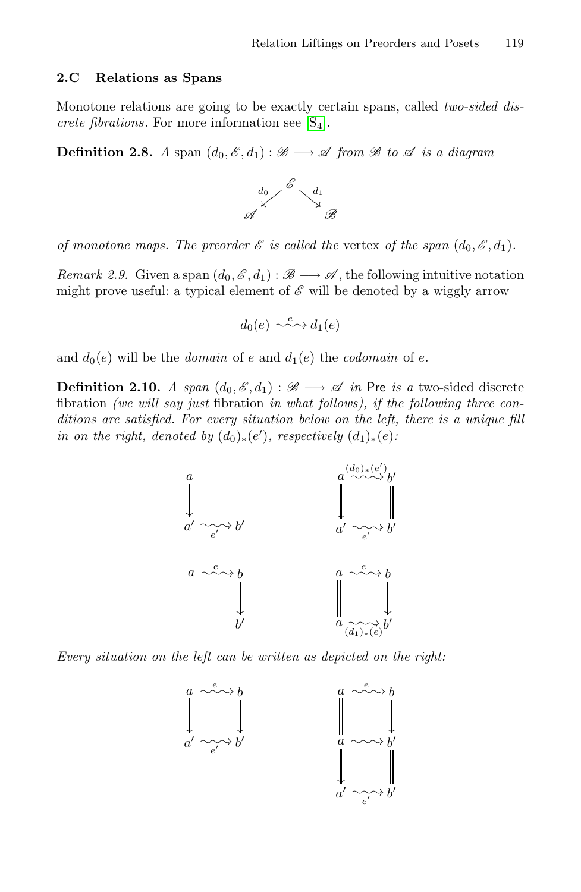#### **2.C Relations as Spans**

Monotone relations are going to be exactly certain spans, called *two-sided discrete fibrations*. For more information see  $[S_4]$ .

**Definition 2.8.** *A* span  $(d_0, \mathcal{E}, d_1) : \mathcal{B} \longrightarrow \mathcal{A}$  from  $\mathcal{B}$  to  $\mathcal{A}$  is a diagram



*of monotone maps. The preorder*  $\mathscr E$  *is called the vertex of the span*  $(d_0, \mathscr E, d_1)$ *.* 

*Remark 2.9.* Given a span  $(d_0, \mathscr{E}, d_1) : \mathscr{B} \longrightarrow \mathscr{A}$ , the following intuitive notation might prove useful: a typical element of  $\mathscr E$  will be denoted by a wiggly arrow

$$
d_0(e) \sim \stackrel{e}{\sim} d_1(e)
$$

and  $d_0(e)$  will be the *domain* of e and  $d_1(e)$  the *codomain* of e.

**Definition 2.10.** *A span*  $(d_0, \mathcal{E}, d_1) : \mathcal{B} \longrightarrow \mathcal{A}$  *in* Pre *is a* two-sided discrete fibration *(we will say just* fibration *in what follows), if the following three conditions are satisfied. For every situation below on the left, there is a unique fill in on the right, denoted by*  $(d_0)_*(e')$ *, respectively*  $(d_1)_*(e)$ *:* 



*Every situation on the left can be written as depicted on the right:*

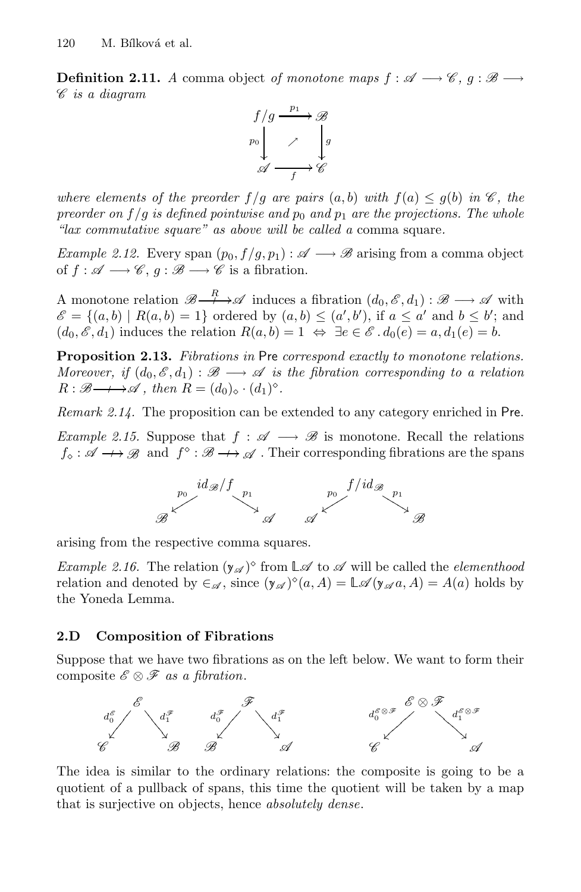**Definition 2.11.** *A* comma object *of monotone maps*  $f : \mathscr{A} \longrightarrow \mathscr{C}, g : \mathscr{B} \longrightarrow$ *C is a diagram*



*where elements of the preorder*  $f/g$  *are pairs*  $(a, b)$  *with*  $f(a) \leq g(b)$  *in*  $\mathscr{C}$ *, the preorder on*  $f/g$  *is defined pointwise and*  $p_0$  *and*  $p_1$  *are the projections. The whole "lax commutative square" as above will be called a* comma square*.*

*Example 2.12.* Every span  $(p_0, f/g, p_1) : \mathscr{A} \longrightarrow \mathscr{B}$  arising from a comma object of  $f : \mathscr{A} \longrightarrow \mathscr{C}, g : \mathscr{B} \longrightarrow \mathscr{C}$  is a fibration.

A monotone relation  $\mathscr{B} \longrightarrow \mathscr{A}$  induces a fibration  $(d_0, \mathscr{E}, d_1) : \mathscr{B} \longrightarrow \mathscr{A}$  with  $\mathscr{E} = \{(a, b) \mid R(a, b) = 1\}$  ordered by  $(a, b) \leq (a', b')$ , if  $a \leq a'$  and  $b \leq b'$ ; and  $(d_0, \mathscr{E}, d_1)$  induces the relation  $R(a, b) = 1 \Leftrightarrow \exists e \in \mathscr{E} \cdot d_0(e) = a, d_1(e) = b.$ 

**Proposition 2.13.** *Fibrations in* Pre *correspond exactly to monotone relations. Moreover, if*  $(d_0, \mathscr{E}, d_1) : \mathscr{B} \longrightarrow \mathscr{A}$  *is the fibration corresponding to a relation*  $R : \mathscr{B} \longrightarrow \mathscr{A}$ , then  $R = (d_0)_{\diamond} \cdot (d_1)^{\diamond}$ .

*Remark 2.14.* The proposition can be extended to any category enriched in Pre.

*Example 2.15.* Suppose that  $f : \mathscr{A} \longrightarrow \mathscr{B}$  is monotone. Recall the relations  $f_{\diamond} : \mathscr{A} \longrightarrow \mathscr{B}$  and  $f^{\diamond} : \mathscr{B} \longrightarrow \mathscr{A}$ . Their corresponding fibrations are the spans



arising from the respective comma squares.

*Example 2.16.* The relation  $(y_{\mathscr{A}})^{\diamond}$  from  $\mathbb{L}\mathscr{A}$  to  $\mathscr{A}$  will be called the *elementhood* relation and denoted by  $\in \mathcal{A}$ , since  $(y_{\mathcal{A}})^{\diamond}(a, A) = \mathbb{L} \mathcal{A}(y_{\mathcal{A}}a, A) = A(a)$  holds by the Yoneda Lemma.

#### **2.D Composition of Fibrations**

Suppose that we have two fibrations as on the left below. We want to form their composite  $\mathscr{E} \otimes \mathscr{F}$  *as a fibration*.



The idea is similar to the ordinary relations: the composite is going to be a quotient of a pullback of spans, this time the quotient will be taken by a map that is surjective on objects, hence *absolutely dense*.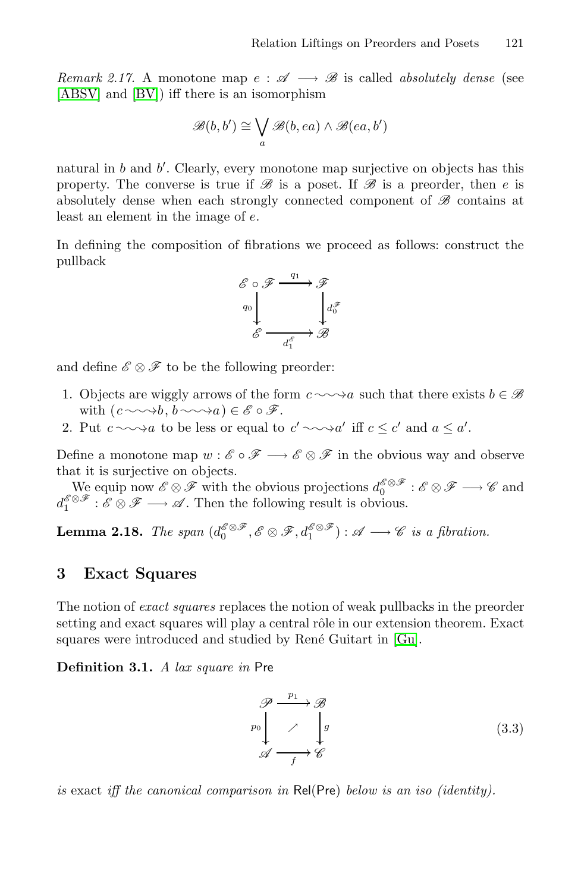*Remark 2.17.* A monotone map  $e : \mathscr{A} \longrightarrow \mathscr{B}$  is called *absolutely dense* (see [ABSV] and [BV]) iff there is an isomorphism

$$
\mathscr{B}(b,b') \cong \bigvee_{a} \mathscr{B}(b,ea) \land \mathscr{B}(ea,b')
$$

natural in b and b'. Clearly, every monotone map surjective on objects has this property. The converse is true if  $\mathscr B$  is a poset. If  $\mathscr B$  is a preorder, then e is absolutely dense when each strongly connected component of *B* contains at least an element in the image of e.

In defining the composition of fibrations we proceed as follows: construct the pullback



and define  $\mathscr{E} \otimes \mathscr{F}$  to be the following preorder:

- 1. Objects are wiggly arrows of the form  $c \sim a$  such that there exists  $b \in \mathcal{B}$ with  $(c \sim b, b \sim a) \in \mathscr{E} \circ \mathscr{F}$ .
- 2. Put  $c \sim a$  to be less or equal to  $c' \sim a'$  iff  $c \leq c'$  and  $a \leq a'$ .

Define a monotone map  $w : \mathscr{E} \circ \mathscr{F} \longrightarrow \mathscr{E} \otimes \mathscr{F}$  in the obvious way and observe that it is surjective on objects.

We equip now  $\mathscr{E} \otimes \mathscr{F}$  with the obvious projections  $d_0^{\mathscr{E} \otimes \mathscr{F}} : \mathscr{E} \otimes \mathscr{F} \longrightarrow \mathscr{C}$  and  $d_1^{\mathscr{E} \otimes \mathscr{F}} : \mathscr{E} \otimes \mathscr{F} \longrightarrow \mathscr{A}$ . Then the follo[wing](#page-13-2) result is obvious.

**Lemma 2.18.** *The span*  $(d_0^{\mathscr{E} \otimes \mathscr{F}}, \mathscr{E} \otimes \mathscr{F}, d_1^{\mathscr{E} \otimes \mathscr{F}}) : \mathscr{A} \longrightarrow \mathscr{C}$  *is a fibration.* 

#### **3 Exact Squares**

<span id="page-6-0"></span>The notion of *exact squares* replaces the notion of weak pullbacks in the preorder setting and exact squares will play a central rôle in our extension theorem. Exact squares were introduced and studied by René Guitart in [Gu].

**Definition 3.1.** *A lax square in* Pre

$$
\mathscr{P} \xrightarrow{p_1} \mathscr{B}
$$
\n
$$
\downarrow^{\mathscr{P} \circ \mathscr{P}}
$$
\n
$$
\mathscr{A} \xrightarrow{f} \mathscr{C}
$$
\n
$$
(3.3)
$$

*is* exact *iff the canonical comparison in* Rel(Pre) *below is an iso (identity).*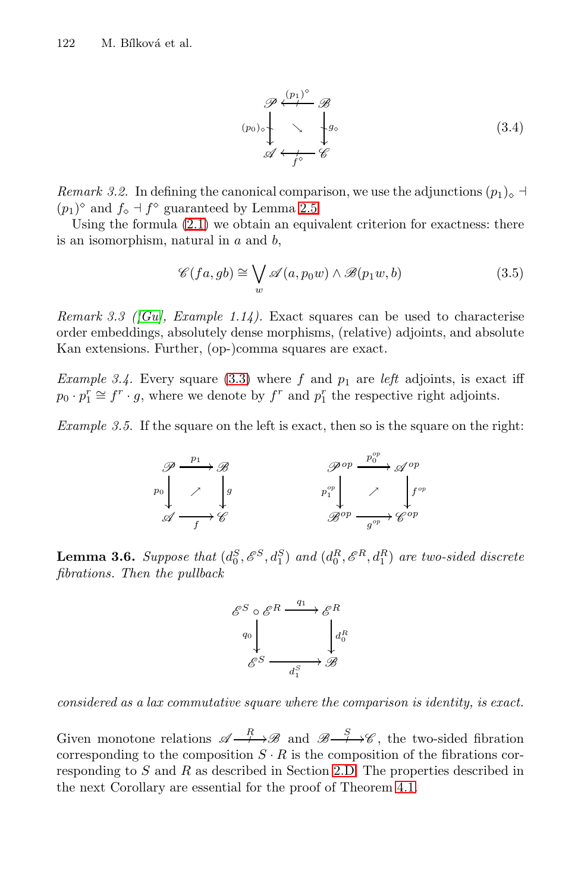$$
\mathscr{P} \xleftarrow{(p_0) \circ} \mathscr{B}
$$
\n
$$
\downarrow^{(p_0) \circ} \downarrow^{(p_0) \circ} \downarrow^{(q_0)}
$$
\n
$$
\mathscr{A} \xleftarrow{f \circ} \mathscr{C}
$$
\n
$$
(3.4)
$$

*Remark 3.2.* In defining the canonical comparison, we use the adjunctions  $(p_1)_{\diamond}$  +  $(p_1)$ <sup>o</sup> and  $f_\diamond$  +  $f^\diamond$  guaranteed by Lemma 2.5.

Using the formula  $(2.1)$  we obtain an equivalent criterion for exactness: there is an isomorphism, natural in  $a$  and  $b$ ,

$$
\mathscr{C}(fa, gb) \cong \bigvee_{w} \mathscr{A}(a, p_0 w) \land \mathscr{B}(p_1 w, b)
$$
\n(3.5)

*Remark 3.3 ([Gu], Example 1.14).* Exact squares can be used to characterise order embeddings, absolutely dense morphisms, (relative) adjoints, and absolute Kan extensions. Further, (op-)comma squares are exact.

*Example 3.4.* Every square (3.3) where  $f$  and  $p_1$  are *left* adjoints, is exact iff  $p_0 \cdot p_1^r \cong f^r \cdot g$ , where we denote by  $f^r$  and  $p_1^r$  the respective right adjoints.

*Example 3.5.* If the square on the left is exact, then so is the square on the right:



**Lemma 3.6.** *Suppose that*  $(d_0^S, \mathscr{E}^S, d_1^S)$  *and*  $(d_0^R, \mathscr{E}^R, d_1^R)$  *are two-sided discrete fibrations. Then the pullback*

$$
\begin{array}{ccc}\n\mathscr{E}^{S} \circ \mathscr{E}^{R} & \xrightarrow{q_{1}} & \mathscr{E}^{R} \\
\downarrow^{q_{0}} & & \downarrow^{d_{0}^{R}} \\
\mathscr{E}^{S} & \xrightarrow{d_{1}^{S}} & \mathscr{B}\n\end{array}
$$

<span id="page-7-0"></span>*considered as a lax commutative square where the comparison is identity, is exact.*

Given monotone relations  $\mathscr{A} \longrightarrow \mathscr{B}$  and  $\mathscr{B} \longrightarrow \mathscr{C}$ , the two-sided fibration corresponding to the composition  $S \cdot R$  is the composition of the fibrations corresponding to  $S$  and  $R$  as described in Section 2.D. The properties described in the next Corollary are essential for the proof of Theorem 4.1.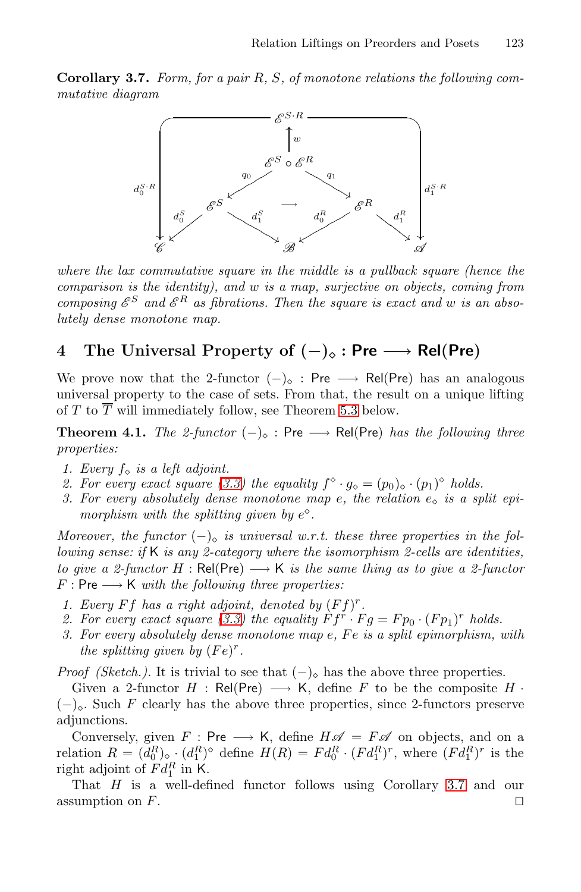**Corollary 3.7.** *Form, for a pair* R*,* S*, of monotone relations the following commutative diagram*



<span id="page-8-0"></span>*where the lax commutative square in the middle is a pullback square (hence the comparison is the identity), [and](#page-9-0)* w *is a map, surjective on objects, coming from composing*  $\mathscr{E}^S$  and  $\mathscr{E}^R$  as fibrations. Then the square is exact and w is an abso*lutely dense monotone map.*

# **4 Th[e U](#page-6-0)niversal Property of (***−***)***-* **: Pre** *−→* **Rel(Pre)**

We prove now that the 2-functor  $(-)_{\circ}$ : Pre  $\longrightarrow$  Rel(Pre) has an analogous universal property to the case of sets. From that, the result on a unique lifting of T to  $\overline{T}$  will immediately follow, see Theorem 5.3 below.

**Theorem 4.1.** *The 2-functor*  $(-)_{\infty}$  : Pre  $\longrightarrow$  Rel(Pre) *has the following three properties:*

- *1. Every*  $f_{\diamond}$  *is a left adjoint.*
- 2. For every exact square (3.3) the equality  $f^{\diamond} \cdot g_{\diamond} = (p_0)_{\diamond} \cdot (p_1)^{\diamond}$  holds.
- *3. For [every](#page-6-0) absolutely dense monotone map e, the relation*  $e_0$  *is a split epimorphism with the splitting given by*  $e^{\diamond}$ .

*Moreover, the functor*  $(-)_\circ$  *is universal w.r.t. these three properties in the following sense: if* K *is any 2-category where the isomorphism 2-cells are identities, to give a 2-functor*  $H : \text{Rel}(\text{Pre}) \longrightarrow \mathsf{K}$  *is the same thing as to give a 2-functor*  $F: Pre \longrightarrow K$  *with the following three properties:* 

- *1. Every*  $Ff$  *has a right adjoint, denoted by*  $(Ff)^{r}$ *.*
- 2. For every exact square (3.3) the equality  $\hat{F}f^r \cdot Fg = Fp_0 \cdot (Fp_1)^r$  holds.
- *3. For every absolutely dense monotone map e*, *Fe is a split epimorphism, with the splitting given by*  $(Fe)^r$ *.*

*Proof (Sketch.).* It is trivial to see [th](#page-7-0)at  $(-)_\diamond$  h[as](#page-7-0) the above three properties.

Given a 2-functor  $H : \text{Rel}(\text{Pre}) \longrightarrow \text{K}$ , define F to be the composite  $H \cdot$  $(-)_\circ$ . Such F clearly has the above three properties, since 2-functors preserve adjunctions.

Conversely, given  $F : Pre \longrightarrow K$ , define  $H \mathscr{A} = F \mathscr{A}$  on objects, and on a relation  $R = (d_0^R)_{\diamond}$   $(d_1^R)^{\diamond}$  define  $H(R) = F d_0^R \cdot (F d_1^R)^r$ , where  $(F d_1^R)^r$  is the right adjoint of  $Fd_1^R$  in K.

That  $H$  is a well-defined functor follows using Corollary 3.7 and our assumption on  $F$ .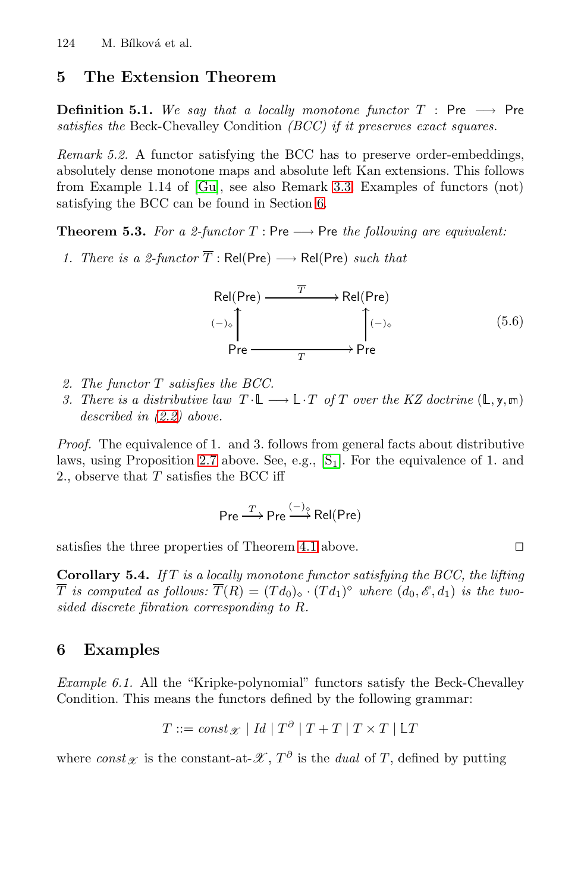## <span id="page-9-0"></span>**5 The Extension [T](#page-9-1)heorem**

**Definition 5.1.** *We say that a locally monotone functor*  $T$  : Pre  $\longrightarrow$  Pre *satisfies the* Beck-Chevalley Condition *(BCC) if it preserves exact squares.*

*Remark 5.2.* A functor satisfying the BCC has to preserve order-embeddings, absolutely dense monotone maps and absolute left Kan extensions. This follows from Example 1.14 of [Gu], see also Remark 3.3. Examples of functors (not) satisfying the BCC can be found in Section 6.

**Theorem 5.3.** *For a 2-functor*  $T : Pre \rightarrow Pre$  *the following are equivalent:* 

*1. There is a 2-functor*  $\overline{T}$  : Rel(Pre)  $\longrightarrow$  Rel(Pre) *such that* 

Rel(Pre) <sup>T</sup> -Rel(Pre) Pre <sup>T</sup> -([−](#page-14-13))- Pre (−)- (5.6)

- *2. The functor* T *satisfies the BCC.*
- *3. There is a distributive law*  $T \cdot \mathbb{L} \longrightarrow \mathbb{L} \cdot T$  *of* T *over the KZ doctrine*  $(\mathbb{L}, \mathbf{y}, \mathbb{m})$ *described in (2.2) [abov](#page-8-0)e.*

*Proof.* The equivalence of 1. and 3. follows from general facts about distributive laws, using Proposition 2.7 above. See, e.g.,  $[S_1]$ . For the equivalence of 1. and 2., observe that  $T$  satisfies the BCC iff

$$
\mathsf{Pre} \xrightarrow{T} \mathsf{Pre} \xrightarrow{(-)_{\diamond}} \mathsf{Rel}(\mathsf{Pre})
$$

<span id="page-9-2"></span><span id="page-9-1"></span>satisfies the three properties of Theorem 4.1 above.  $\Box$ 

**Corollary 5.4.** *If* T *is a locally monotone functor satisfying the BCC, the lifting*  $\overline{T}$  *is computed as follows:*  $\overline{T}(R) = (Td_0)_{\diamond} \cdot (Td_1)^{\diamond}$  *where*  $(d_0, \mathscr{E}, d_1)$  *is the twosided discrete fibration corresponding to* R*.*

#### **6 Examples**

*Example 6.1.* All the "Kripke-polynomial" functors satisfy the Beck-Chevalley Condition. This means the functors defined by the following grammar:

$$
T ::= const_{\mathscr{X}} \mid Id \mid T^{\partial} \mid T + T \mid T \times T \mid \mathbb{L}T
$$

where *const*<sub>*X*</sub> is the constant-at- $\mathscr{X}, T^{\partial}$  is the *dual* of T, defined by putting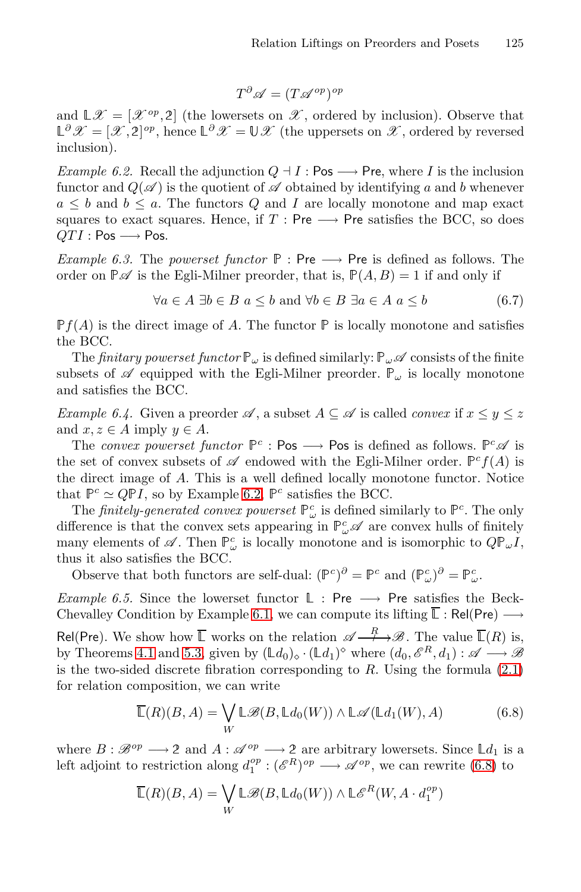$$
T^{\partial}\mathscr{A} = (T\mathscr{A}^{op})^{op}
$$

<span id="page-10-0"></span>and  $\mathbb{L}\mathscr{X} = [\mathscr{X}^{op}, 2]$  (the lowersets on  $\mathscr{X}$ , ordered by inclusion). Observe that  $\mathbb{L}^{\partial}\mathscr{X} = [\mathscr{X}, 2]^{op}$ , hence  $\mathbb{L}^{\partial}\mathscr{X} = \mathbb{U}\mathscr{X}$  (the uppersets on  $\mathscr{X}$ , ordered by reversed inclusion).

*Example 6.2.* Recall the adjunction  $Q \dashv I$ : Pos  $\longrightarrow$  Pre, where I is the inclusion functor and  $Q(\mathscr{A})$  is the quotient of  $\mathscr A$  obtained by identifying a and b whenever  $a \leq b$  and  $b \leq a$ . The functors Q and I are locally monotone and map exact squares to exact squares. Hence, if  $T : Pre \longrightarrow Pre$  satisfies the BCC, so does  $QTI : Pos \longrightarrow Pos.$ 

*Example 6.3.* The *powerset functor*  $P : Pre \longrightarrow Pre$  is defined as follows. The order on  $\mathbb{P}\mathscr{A}$  is the Egli-Milner preorder, that is,  $\mathbb{P}(A, B) = 1$  if and only if

$$
\forall a \in A \; \exists b \in B \; a \le b \text{ and } \forall b \in B \; \exists a \in A \; a \le b \tag{6.7}
$$

 $\mathbb{P}f(A)$  is the direct image of A. The functor  $\mathbb P$  is locally monotone and satisfies the BCC.

The *finitary powerset functor*  $\mathbb{P}_{\omega}$  is defined similarly:  $\mathbb{P}_{\omega}$   $\mathscr A$  consists of the finite subsets of  $\mathscr A$  [eq](#page-10-0)uipped with the Egli-Milner preorder.  $\mathbb P_\omega$  is locally monotone and satisfies the BCC.

*Example 6.4.* Given a preorder  $\mathscr A$ , a subset  $A \subseteq \mathscr A$  is called *convex* if  $x \leq y \leq z$ and  $x, z \in A$  imply  $y \in A$ .

The *convex powerset functor*  $\mathbb{P}^c$  : Pos  $\longrightarrow$  Pos is defined as follows.  $\mathbb{P}^c\mathscr{A}$  is the set of convex subsets of  $\mathscr A$  endowed with the Egli-Milner order.  $\mathbb P^c f(A)$  is the direct image of A. This is a well defined locally monotone functor. Notice that  $\mathbb{P}^c \simeq Q\mathbb{P}I$ [,](#page-9-2) [so](#page-9-2) by Example 6.2,  $\mathbb{P}^c$  satisfies the BCC.

The *finitely-generated convex powerset*  $\mathbb{P}^c_\omega$  is defined similarly to  $\mathbb{P}^c$ . The only di[ffere](#page-9-0)nce is that the convex sets appearing in  $\mathbb{P}^c_\omega\mathscr{A}$  are convex hulls of finitely many elements of  $\mathscr A$ . Then  $\mathbb{P}^c_\omega$  is locally monotone and [is is](#page-2-0)omorphic to  $Q\mathbb{P}_\omega I$ , thus it also satisfies the BCC.

Observe that both functors are self-dual:  $(\mathbb{P}^c)^{\partial} = \mathbb{P}^c$  and  $(\mathbb{P}^c_{\omega})^{\partial} = \mathbb{P}^c_{\omega}$ .

<span id="page-10-1"></span>*Example 6.5.* Since the lowerset functor  $\mathbb{L}$  : Pre  $\longrightarrow$  Pre satisfies the Beck-Chevalley Condition by Example 6.1, we can compute its lifting  $\overline{\mathbb{L}}$ : Rel(Pre)  $\longrightarrow$ 

Rel(Pre). We show how  $\overline{\mathbb{L}}$  works on the relation  $\mathscr{A} \longrightarrow \mathscr{B}$ . The value  $\overline{\mathbb{L}}(R)$  is, by Theorems 4.1 and 5.3, given by  $(\mathbb{L}d_0) \circ (\mathbb{L}d_1)^\circ$  where  $(d_0, \mathscr{E}^R, d_1) : \mathscr{A} \longrightarrow \mathscr{B}$ is the two-sided discrete fibration corresponding to  $R$ . Using the formula  $(2.1)$ for relation composition, we can write

$$
\overline{\mathbb{L}}(R)(B,A) = \bigvee_{W} \mathbb{L}\mathscr{B}(B,\mathbb{L}d_0(W)) \wedge \mathbb{L}\mathscr{A}(\mathbb{L}d_1(W),A)
$$
(6.8)

where  $B: \mathscr{B}^{op} \longrightarrow 2$  and  $A: \mathscr{A}^{op} \longrightarrow 2$  are arbitrary lowersets. Since  $\mathbb{L}d_1$  is a left adjoint to restriction along  $d_1^{op} : (\mathscr{E}^R)^{op} \longrightarrow \mathscr{A}^{op}$ , we can rewrite (6.8) to

$$
\overline{\mathbb L}(R)(B,A)=\bigvee_W\mathbb L\mathscr B(B,\mathbb L d_0(W))\wedge\mathbb L\mathscr E^R(W,A\cdot d_1^{op})
$$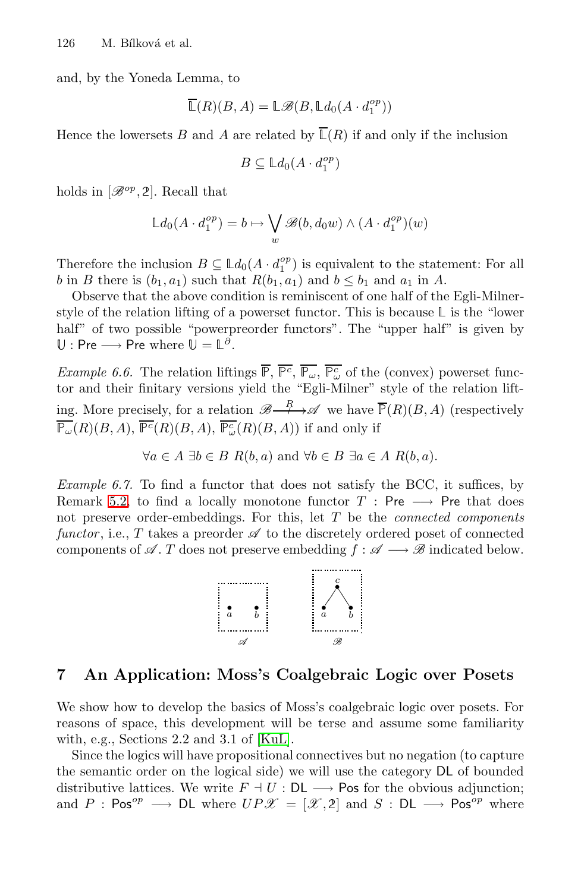and, by the Yoneda Lemma, to

$$
\overline{\mathbb{L}}(R)(B,A) = \mathbb{L}\mathscr{B}(B, \mathbb{L}d_0(A \cdot d_1^{op}))
$$

Hence the lowersets B and A are related by  $\overline{\mathbb{L}}(R)$  if and only if the inclusion

$$
B \subseteq \mathbb{L}d_0(A \cdot d_1^{op})
$$

holds in  $[\mathscr{B}^{op}, 2]$ . Recall that

$$
\mathbb{L}d_0(A \cdot d_1^{op}) = b \mapsto \bigvee_w \mathscr{B}(b, d_0w) \wedge (A \cdot d_1^{op})(w)
$$

Therefore the inclusion  $B \subseteq \mathbb{L}d_0(A \cdot d_1^{op})$  is equivalent to the statement: For all b in B there is  $(b_1, a_1)$  such that  $R(b_1, a_1)$  and  $b \leq b_1$  and  $a_1$  in A.

Observe that the above condition is reminiscent of one half of the Egli-Milnerstyle of the relation lifting of a powerset functor. This is because  $\mathbb L$  is the "lower half" of two possible "powerpreorder functors". The "upper half" is given by  $\mathbb{U}:$  Pre  $\longrightarrow$  Pre where  $\mathbb{U} = \mathbb{L}^{\partial}$ .

*Example 6.6.* The relation liftings  $\overline{P}$ ,  $\overline{P^c}$ ,  $\overline{P_\omega}$ ,  $\overline{P_\omega^c}$  of the (convex) powerset functor and their finitary versions yield the "Egli-Milner" style of the relation lifting. More precisely, for a relation  $\mathscr{B}\longrightarrow\mathscr{A}$  we have  $\overline{\mathbb{P}}(R)(B, A)$  (respectively  $\overline{\mathbb{P}_{\omega}}(R)(B, A), \overline{\mathbb{P}^c}(R)(B, A), \overline{\mathbb{P}_{\omega}^c}(R)(B, A))$  if and only if

 $\forall a \in A \exists b \in B \ R(b, a) \text{ and } \forall b \in B \ \exists a \in A \ R(b, a).$ 

*Example 6.7.* To find a functor that does not satisfy the BCC, it suffices, by Remark 5.2, to find a locally monotone functor  $T : Pre \longrightarrow Pre$  that does not preserve order-embeddings. For this, let T be the *connected components functor*, i.e., T takes a preorder  $\mathscr A$  to the discretely ordered poset of connected components of  $\mathscr A$ . T does not preserve embedding  $f : \mathscr A \longrightarrow \mathscr B$  indicated below.



### **7 An Application: Moss's Coalgebraic Logic over Posets**

We show how to develop the basics of Moss's coalgebraic logic over posets. For reasons of space, this development will be terse and assume some familiarity with, e.g., Sections 2.2 and 3.1 of [KuL].

Since the logics will have propositional connectives but no negation (to capture the semantic order on the logical side) we will use the category DL of bounded distributive lattices. We write  $F \dashv U : \mathsf{DL} \longrightarrow \mathsf{Pos}$  for the obvious adjunction; and P :  $\text{Pos}^{op} \longrightarrow \text{DL}$  where  $UP\mathscr{X} = [\mathscr{X}, 2]$  and  $S : \text{DL} \longrightarrow \text{Pos}^{op}$  where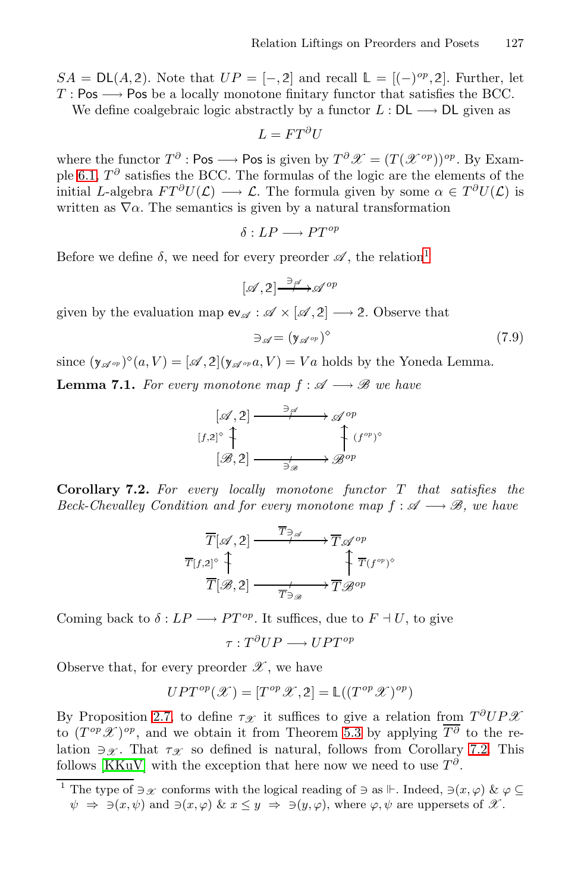$SA = DL(A, 2)$ . Note that  $UP = [-, 2]$  and recall  $\mathbb{L} = [(-)^{op}, 2]$ . Further, let  $T: \mathsf{Pos} \longrightarrow \mathsf{Pos}$  be a locally monotone finitary functor that satisfies the BCC.

We define coalgebraic logic abstractly by a functor  $L : DL \longrightarrow DL$  given as

$$
L = FT^{\partial}U
$$

where the functor  $T^{\partial}$  : Pos  $\longrightarrow$  Pos is given by  $T^{\partial} \mathscr{X} = (T(\mathscr{X}^{op}))^{op}$ . By Example 6.1,  $T^{\partial}$  satisfies the BCC. The formulas of the logic are the elements of the initial L-algebra  $FT^\partial U(\mathcal{L}) \longrightarrow \mathcal{L}$ . The formula given by some  $\alpha \in T^\partial U(\mathcal{L})$  is written as  $\nabla \alpha$ . The semantics is given by a natural transformation

$$
\delta: LP \longrightarrow PT^{op}
$$

Before we define  $\delta$ , we need for every preorder  $\mathscr A$ , the relation<sup>1</sup>

$$
[\mathscr{A},2] \stackrel{\ni\mathscr{A}}{\longrightarrow} \mathscr{A}^{op}
$$

given by the evaluation map  $ev_{\mathscr{A}} : \mathscr{A} \times [\mathscr{A}, 2] \longrightarrow 2$ . Observe that

$$
\exists \mathscr{A} = (\mathsf{y}_{\mathscr{A}^{op}})^{\diamond} \tag{7.9}
$$

<span id="page-12-1"></span>since  $(y_{\mathscr{A}^{op}})^{\diamond}(a, V) = [\mathscr{A}, 2](y_{\mathscr{A}^{op}}a, V) = Va$  holds by the Yoneda Lemma. **Lemma 7.1.** *For every monotone map*  $f : \mathcal{A} \longrightarrow \mathcal{B}$  *we have* 

$$
[\mathscr{A}, 2] \xrightarrow{\frac{\partial \mathscr{A}}{\partial \mathscr{A}}} \mathscr{A}^{op}
$$

$$
[\mathscr{B}, 2] \xrightarrow{\frac{\partial \mathscr{A}}{\partial \mathscr{B}}} \mathscr{B}^{op}
$$

**Corollary 7.2.** *For every locally monotone functor* T *that satisfies the Beck-Chevalley Condition and for every monotone map*  $f : \mathcal{A} \longrightarrow \mathcal{B}$ , we have

$$
\overline{T}[\mathscr{A},2] \xrightarrow{\overline{T}_{\ni\mathscr{A}}} \overline{T}_{\mathscr{A}}^{op}
$$
\n
$$
\overline{T}[f,2] \overset{\uparrow}{\uparrow}
$$
\n
$$
\overline{T}[\mathscr{B},2] \xrightarrow{\overline{T}_{\ni\mathscr{B}}} \overline{T}_{\mathscr{B}}^{op}
$$

Coming back to  $\delta : LP \longrightarrow PT^{op}$  $\delta : LP \longrightarrow PT^{op}$  $\delta : LP \longrightarrow PT^{op}$ . It suffices, due to  $F \dashv U$  $F \dashv U$ , to give

$$
\tau: T^{\partial}UP \longrightarrow UPT^{op}
$$

<span id="page-12-0"></span>Observe that, for every preorder  $\mathscr{X}$ , we have

$$
UPT^{op}(\mathcal{X}) = [T^{op}\mathcal{X}, 2] = \mathbb{L}((T^{op}\mathcal{X})^{op})
$$

By Proposition 2.7, to define  $\tau_{\mathscr{X}}$  it suffices to give a relation from  $T^{\partial}UP\mathscr{X}$ to  $(T^{op} \mathscr{X})^{op}$ , and we obtain it from Theorem 5.3 by applying  $\overline{T^{\partial}}$  to the relation  $\exists \mathscr{X}$ . That  $\tau_{\mathscr{X}}$  so defined is natural, follows from Corollary 7.2. This follows [KKuV] with the exception that here now we need to use  $T^{\partial}$ .

<sup>&</sup>lt;sup>1</sup> The type of  $\exists x$  conforms with the logical reading of  $\exists$  as  $\mathbb{F}$ . Indeed,  $\exists (x, \varphi) \& \varphi \subseteq$  $\psi \Rightarrow \exists (x, \psi) \text{ and } \exists (x, \varphi) \& x \leq y \Rightarrow \exists (y, \varphi), \text{ where } \varphi, \psi \text{ are uppersets of } \mathscr{X}.$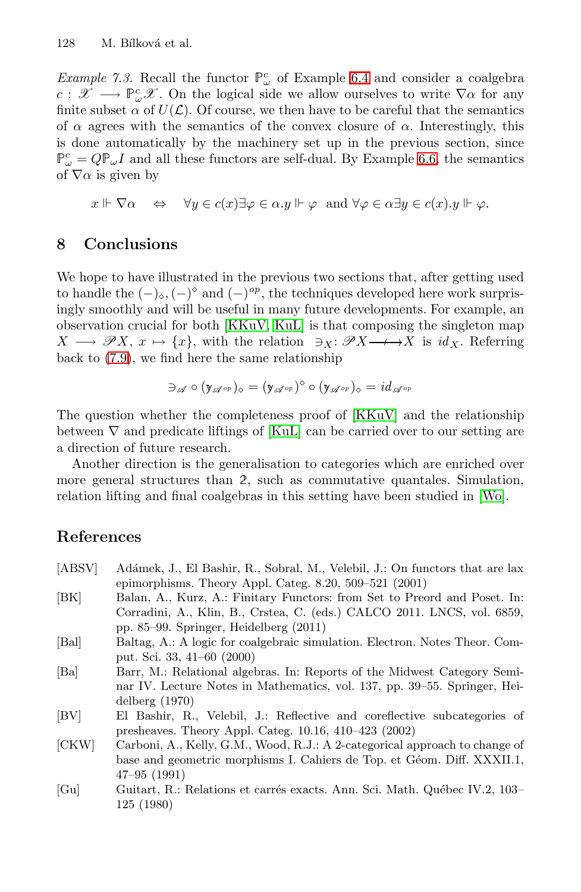*Example 7.3.* Recall the functor  $\mathbb{P}^c_\omega$  of Example 6.4 and consider a coalgebra  $c: \mathscr{X} \longrightarrow \mathbb{P}^c_\omega \mathscr{X}$ . On the logical side we allow ourselves to write  $\nabla \alpha$  for any finite subset  $\alpha$  of  $U(\mathcal{L})$ . Of course, we then have to be careful that the semantics of  $\alpha$  agrees with the semantics of the convex closure of  $\alpha$ . Interestingly, this is done automatically by the machinery set up in the previous section, since  $\mathbb{P}^c_\omega = Q \mathbb{P}_\omega I$  and all these functors are self-dual. By Example 6.6, the semantics of  $\nabla \alpha$  is given by

$$
x \Vdash \nabla \alpha \quad \Leftrightarrow \quad \forall y \in c(x) \exists \varphi \in \alpha \lrcorner y \Vdash \varphi \text{ and } \forall \varphi \in \alpha \exists y \in c(x) \lrcorner y \Vdash \varphi.
$$

#### **8 Conclusions**

We hope to have illustrated in the previous two sections that, after getting used to handle the  $(-)_\diamond,(-)^\diamond$  and  $(-)^{op}$ [, the](#page-14-14) techniques developed here work surprisingly smoothly a[nd wil](#page-14-15)l be useful in many future developments. For example, an observation crucial for both [KKuV, KuL] is that composing the singleton map  $X \longrightarrow \mathscr{P}X, x \mapsto \{x\},\$  with the relation  $\exists x: \mathscr{P}X \longrightarrow X$  is  $id_X$ . Referring back to (7.9), we find here the same relationship

$$
\exists_{\mathscr{A}}\circ (y_{\mathscr{A}^{op}})_{\diamond}=(y_{\mathscr{A}^{op}})^{\diamond}\circ (y_{\mathscr{A}^{op}})_{\diamond}=id_{\mathscr{A}^{op}}
$$

The question whether the completeness proof of [KKuV] and the relationship between  $\nabla$  and predicate liftings of [KuL] can be carried over to our setting are a direction of future research.

<span id="page-13-1"></span>Another direction is the generalisation to categories which are enriched over more general structures than 2, such as commutative quantales. Simulation, relation lifting and final coalgebras in this setting have been studied in [Wo].

#### **References**

- [ABSV] Adámek, J., El Bashir, R., Sobral, M., Velebil, J.: On functors that are lax epimorphisms. Theory Appl. Categ. 8.20, 509–521 (2001)
- [BK] Balan, A., Kurz, A.: Finitary Functors: from Set to Preord and Poset. In: Corradini, A., Klin, B., Crstea, C. (eds.) CALCO 2011. LNCS, vol. 6859, pp. 85–99. Springer, Heidelberg (2011)
- <span id="page-13-0"></span>[Bal] Baltag, A.: A logic for coalgebraic simulation. Electron. Notes Theor. Comput. Sci. 33, 41–60 (2000)
- <span id="page-13-2"></span>[Ba] Barr, M.: Relational algebras. In: Reports of the Midwest Category Seminar IV. Lecture Notes in Mathematics, vol. 137, pp. 39–55. Springer, Heidelberg (1970)
- [BV] El Bashir, R., Velebil, J.: Reflective and coreflective subcategories of presheaves. Theory Appl. Categ. 10.16, 410–423 (2002)
- [CKW] Carboni, A., Kelly, G.M., Wood, R.J.: A 2-categorical approach to change of base and geometric morphisms I. Cahiers de Top. et Géom. Diff. XXXII.1, 47–95 (1991)
- [Gu] Guitart, R.: Relations et carrés exacts. Ann. Sci. Math. Québec IV.2, 103– 125 (1980)